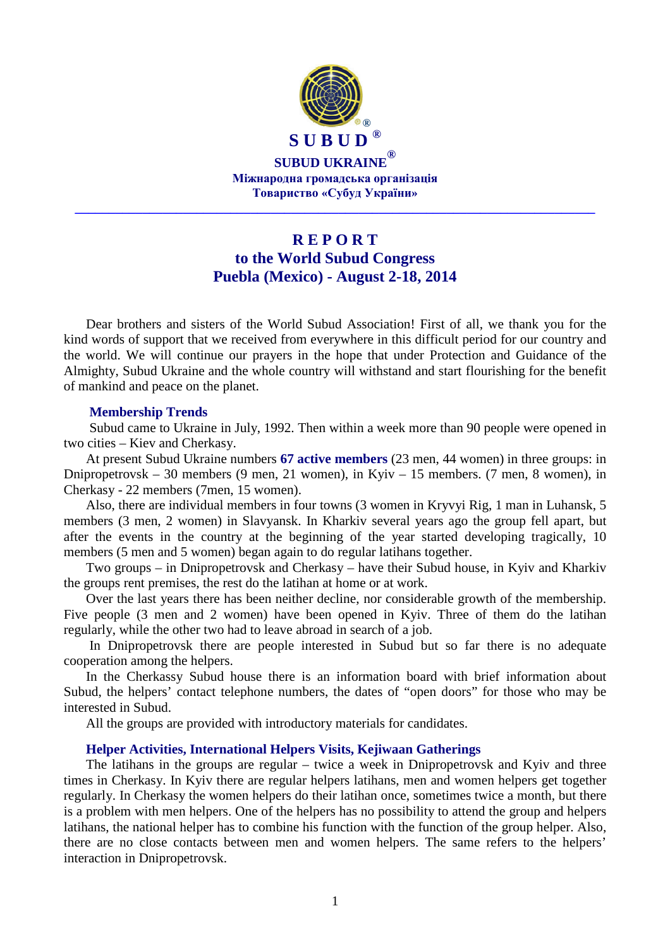

# **R E P O R T to the World Subud Congress Puebla (Mexico) - August 2-18, 2014**

Dear brothers and sisters of the World Subud Association! First of all, we thank you for the kind words of support that we received from everywhere in this difficult period for our country and the world. We will continue our prayers in the hope that under Protection and Guidance of the Almighty, Subud Ukraine and the whole country will withstand and start flourishing for the benefit of mankind and peace on the planet.

#### **Membership Trends**

 Subud came to Ukraine in July, 1992. Then within a week more than 90 people were opened in two cities – Kiev and Cherkasy.

At present Subud Ukraine numbers **67 active members** (23 men, 44 women) in three groups: in Dnipropetrovsk – 30 members (9 men, 21 women), in Kyiv – 15 members. (7 men, 8 women), in Cherkasy - 22 members (7men, 15 women).

Also, there are individual members in four towns (3 women in Kryvyi Rig, 1 man in Luhansk, 5 members (3 men, 2 women) in Slavyansk. In Kharkiv several years ago the group fell apart, but after the events in the country at the beginning of the year started developing tragically, 10 members (5 men and 5 women) began again to do regular latihans together.

Two groups – in Dnipropetrovsk and Cherkasy – have their Subud house, in Kyiv and Kharkiv the groups rent premises, the rest do the latihan at home or at work.

Over the last years there has been neither decline, nor considerable growth of the membership. Five people (3 men and 2 women) have been opened in Kyiv. Three of them do the latihan regularly, while the other two had to leave abroad in search of a job.

 In Dnipropetrovsk there are people interested in Subud but so far there is no adequate cooperation among the helpers.

In the Cherkassy Subud house there is an information board with brief information about Subud, the helpers' contact telephone numbers, the dates of "open doors" for those who may be interested in Subud.

All the groups are provided with introductory materials for candidates.

# **Helper Activities, International Helpers Visits, Kejiwaan Gatherings**

The latihans in the groups are regular – twice a week in Dnipropetrovsk and Kyiv and three times in Cherkasy. In Kyiv there are regular helpers latihans, men and women helpers get together regularly. In Cherkasy the women helpers do their latihan once, sometimes twice a month, but there is a problem with men helpers. One of the helpers has no possibility to attend the group and helpers latihans, the national helper has to combine his function with the function of the group helper. Also, there are no close contacts between men and women helpers. The same refers to the helpers' interaction in Dnipropetrovsk.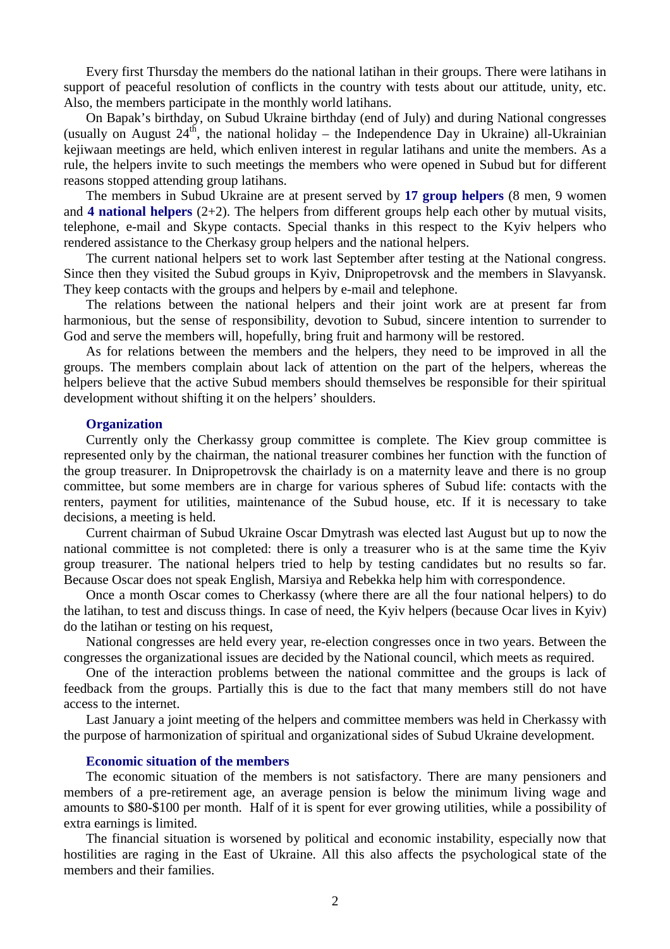Every first Thursday the members do the national latihan in their groups. There were latihans in support of peaceful resolution of conflicts in the country with tests about our attitude, unity, etc. Also, the members participate in the monthly world latihans.

On Bapak's birthday, on Subud Ukraine birthday (end of July) and during National congresses (usually on August  $24<sup>th</sup>$ , the national holiday – the Independence Day in Ukraine) all-Ukrainian kejiwaan meetings are held, which enliven interest in regular latihans and unite the members. As a rule, the helpers invite to such meetings the members who were opened in Subud but for different reasons stopped attending group latihans.

The members in Subud Ukraine are at present served by **17 group helpers** (8 men, 9 women and **4 national helpers** (2+2). The helpers from different groups help each other by mutual visits, telephone, e-mail and Skype contacts. Special thanks in this respect to the Kyiv helpers who rendered assistance to the Cherkasy group helpers and the national helpers.

The current national helpers set to work last September after testing at the National congress. Since then they visited the Subud groups in Kyiv, Dnipropetrovsk and the members in Slavyansk. They keep contacts with the groups and helpers by e-mail and telephone.

The relations between the national helpers and their joint work are at present far from harmonious, but the sense of responsibility, devotion to Subud, sincere intention to surrender to God and serve the members will, hopefully, bring fruit and harmony will be restored.

As for relations between the members and the helpers, they need to be improved in all the groups. The members complain about lack of attention on the part of the helpers, whereas the helpers believe that the active Subud members should themselves be responsible for their spiritual development without shifting it on the helpers' shoulders.

#### **Organization**

Currently only the Cherkassy group committee is complete. The Kiev group committee is represented only by the chairman, the national treasurer combines her function with the function of the group treasurer. In Dnipropetrovsk the chairlady is on a maternity leave and there is no group committee, but some members are in charge for various spheres of Subud life: contacts with the renters, payment for utilities, maintenance of the Subud house, etc. If it is necessary to take decisions, a meeting is held.

Current chairman of Subud Ukraine Oscar Dmytrash was elected last August but up to now the national committee is not completed: there is only a treasurer who is at the same time the Kyiv group treasurer. The national helpers tried to help by testing candidates but no results so far. Because Oscar does not speak English, Marsiya and Rebekka help him with correspondence.

Once a month Oscar comes to Cherkassy (where there are all the four national helpers) to do the latihan, to test and discuss things. In case of need, the Kyiv helpers (because Ocar lives in Kyiv) do the latihan or testing on his request,

National congresses are held every year, re-election congresses once in two years. Between the congresses the organizational issues are decided by the National council, which meets as required.

One of the interaction problems between the national committee and the groups is lack of feedback from the groups. Partially this is due to the fact that many members still do not have access to the internet.

Last January a joint meeting of the helpers and committee members was held in Cherkassy with the purpose of harmonization of spiritual and organizational sides of Subud Ukraine development.

### **Economic situation of the members**

The economic situation of the members is not satisfactory. There are many pensioners and members of a pre-retirement age, an average pension is below the minimum living wage and amounts to \$80-\$100 per month. Half of it is spent for ever growing utilities, while a possibility of extra earnings is limited.

The financial situation is worsened by political and economic instability, especially now that hostilities are raging in the East of Ukraine. All this also affects the psychological state of the members and their families.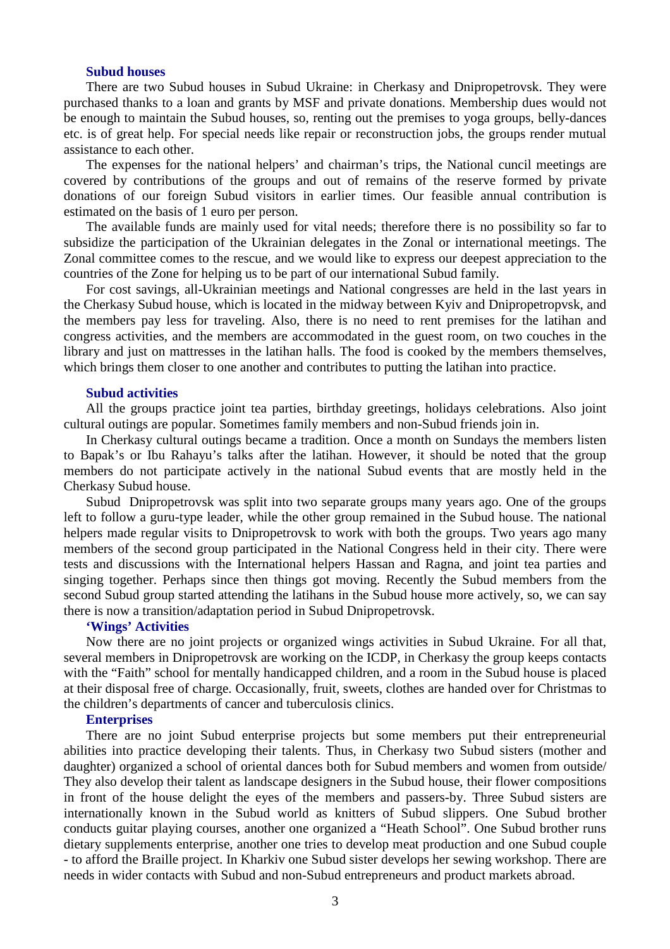# **Subud houses**

There are two Subud houses in Subud Ukraine: in Cherkasy and Dnipropetrovsk. They were purchased thanks to a loan and grants by MSF and private donations. Membership dues would not be enough to maintain the Subud houses, so, renting out the premises to yoga groups, belly-dances etc. is of great help. For special needs like repair or reconstruction jobs, the groups render mutual assistance to each other.

The expenses for the national helpers' and chairman's trips, the National cuncil meetings are covered by contributions of the groups and out of remains of the reserve formed by private donations of our foreign Subud visitors in earlier times. Our feasible annual contribution is estimated on the basis of 1 euro per person.

The available funds are mainly used for vital needs; therefore there is no possibility so far to subsidize the participation of the Ukrainian delegates in the Zonal or international meetings. The Zonal committee comes to the rescue, and we would like to express our deepest appreciation to the countries of the Zone for helping us to be part of our international Subud family.

For cost savings, all-Ukrainian meetings and National congresses are held in the last years in the Cherkasy Subud house, which is located in the midway between Kyiv and Dnipropetropvsk, and the members pay less for traveling. Also, there is no need to rent premises for the latihan and congress activities, and the members are accommodated in the guest room, on two couches in the library and just on mattresses in the latihan halls. The food is cooked by the members themselves, which brings them closer to one another and contributes to putting the latihan into practice.

### **Subud activities**

All the groups practice joint tea parties, birthday greetings, holidays celebrations. Also joint cultural outings are popular. Sometimes family members and non-Subud friends join in.

In Cherkasy cultural outings became a tradition. Once a month on Sundays the members listen to Bapak's or Ibu Rahayu's talks after the latihan. However, it should be noted that the group members do not participate actively in the national Subud events that are mostly held in the Cherkasy Subud house.

Subud Dnipropetrovsk was split into two separate groups many years ago. One of the groups left to follow a guru-type leader, while the other group remained in the Subud house. The national helpers made regular visits to Dnipropetrovsk to work with both the groups. Two years ago many members of the second group participated in the National Congress held in their city. There were tests and discussions with the International helpers Hassan and Ragna, and joint tea parties and singing together. Perhaps since then things got moving. Recently the Subud members from the second Subud group started attending the latihans in the Subud house more actively, so, we can say there is now a transition/adaptation period in Subud Dnipropetrovsk.

#### **'Wings' Activities**

Now there are no joint projects or organized wings activities in Subud Ukraine. For all that, several members in Dnipropetrovsk are working on the ICDP, in Cherkasy the group keeps contacts with the "Faith" school for mentally handicapped children, and a room in the Subud house is placed at their disposal free of charge. Occasionally, fruit, sweets, clothes are handed over for Christmas to the children's departments of cancer and tuberculosis clinics.

# **Enterprises**

There are no joint Subud enterprise projects but some members put their entrepreneurial abilities into practice developing their talents. Thus, in Cherkasy two Subud sisters (mother and daughter) organized a school of oriental dances both for Subud members and women from outside/ They also develop their talent as landscape designers in the Subud house, their flower compositions in front of the house delight the eyes of the members and passers-by. Three Subud sisters are internationally known in the Subud world as knitters of Subud slippers. One Subud brother conducts guitar playing courses, another one organized a "Heath School". One Subud brother runs dietary supplements enterprise, another one tries to develop meat production and one Subud couple - to afford the Braille project. In Kharkiv one Subud sister develops her sewing workshop. There are needs in wider contacts with Subud and non-Subud entrepreneurs and product markets abroad.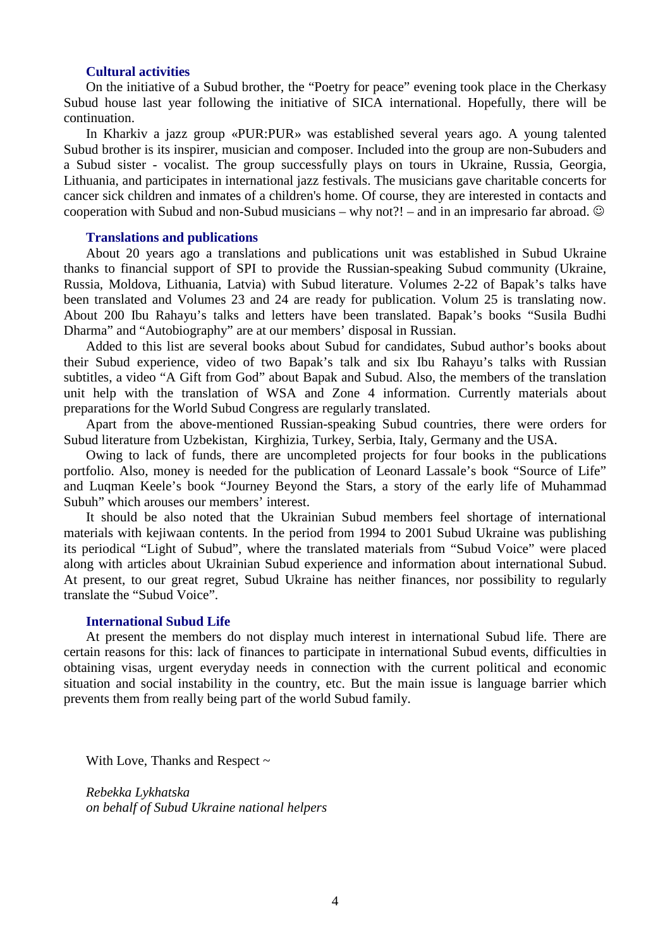# **Cultural activities**

On the initiative of a Subud brother, the "Poetry for peace" evening took place in the Cherkasy Subud house last year following the initiative of SICA international. Hopefully, there will be continuation.

In Kharkiv a jazz group «PUR:PUR» was established several years ago. A young talented Subud brother is its inspirer, musician and composer. Included into the group are non-Subuders and a Subud sister - vocalist. The group successfully plays on tours in Ukraine, Russia, Georgia, Lithuania, and participates in international jazz festivals. The musicians gave charitable concerts for cancer sick children and inmates of a children's home. Of course, they are interested in contacts and cooperation with Subud and non-Subud musicians – why not?! – and in an impresario far abroad.  $\odot$ 

#### **Translations and publications**

About 20 years ago a translations and publications unit was established in Subud Ukraine thanks to financial support of SPI to provide the Russian-speaking Subud community (Ukraine, Russia, Moldova, Lithuania, Latvia) with Subud literature. Volumes 2-22 of Bapak's talks have been translated and Volumes 23 and 24 are ready for publication. Volum 25 is translating now. About 200 Ibu Rahayu's talks and letters have been translated. Bapak's books "Susila Budhi Dharma" and "Autobiography" are at our members' disposal in Russian.

Added to this list are several books about Subud for candidates, Subud author's books about their Subud experience, video of two Bapak's talk and six Ibu Rahayu's talks with Russian subtitles, a video "A Gift from God" about Bapak and Subud. Also, the members of the translation unit help with the translation of WSA and Zone 4 information. Currently materials about preparations for the World Subud Congress are regularly translated.

Apart from the above-mentioned Russian-speaking Subud countries, there were orders for Subud literature from Uzbekistan, Kirghizia, Turkey, Serbia, Italy, Germany and the USA.

Owing to lack of funds, there are uncompleted projects for four books in the publications portfolio. Also, money is needed for the publication of Leonard Lassale's book "Source of Life" and Luqman Keele's book "Journey Beyond the Stars, a story of the early life of Muhammad Subuh" which arouses our members' interest.

It should be also noted that the Ukrainian Subud members feel shortage of international materials with kejiwaan contents. In the period from 1994 to 2001 Subud Ukraine was publishing its periodical "Light of Subud", where the translated materials from "Subud Voice" were placed along with articles about Ukrainian Subud experience and information about international Subud. At present, to our great regret, Subud Ukraine has neither finances, nor possibility to regularly translate the "Subud Voice".

#### **International Subud Life**

At present the members do not display much interest in international Subud life. There are certain reasons for this: lack of finances to participate in international Subud events, difficulties in obtaining visas, urgent everyday needs in connection with the current political and economic situation and social instability in the country, etc. But the main issue is language barrier which prevents them from really being part of the world Subud family.

With Love, Thanks and Respect  $\sim$ 

*Rebekka Lykhatska on behalf of Subud Ukraine national helpers*